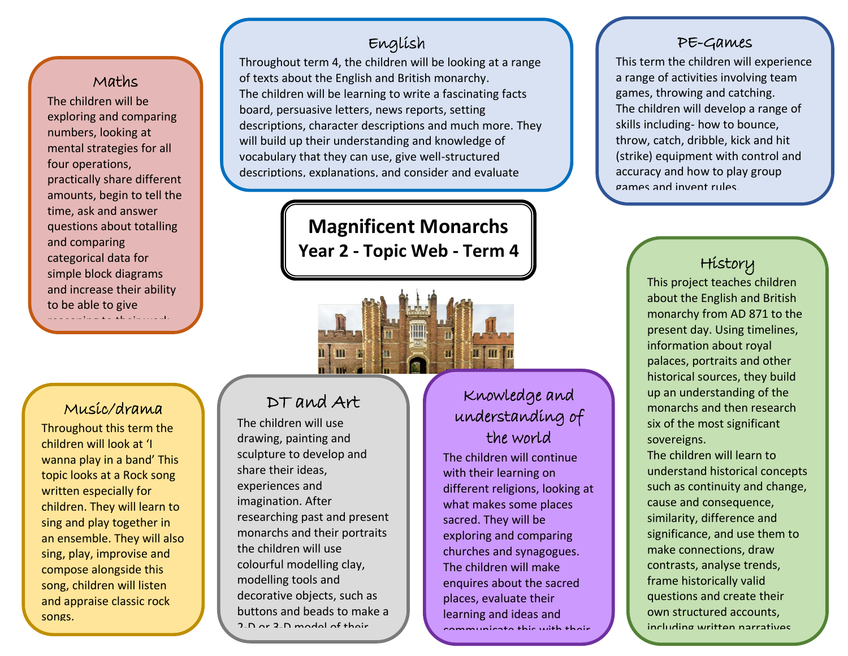### Maths

ี<br>. and comparing The children will be exploring and comparing numbers, looking at mental strategies for all four operations, practically share different amounts, begin to tell the time, ask and answer questions about totalling categorical data for simple block diagrams and increase their ability to be able to give reasoning to their work.

## English

Throughout term 4, the children will be looking at a range of texts about the English and British monarchy. The children will be learning to write a fascinating facts board, persuasive letters, news reports, setting descriptions, character descriptions and much more. They will build up their understanding and knowledge of vocabulary that they can use, give well-structured descriptions, explanations, and consider and evaluate

> **Magnificent Monarchs Year 2 - Topic Web - Term 4**

### Music/drama

Throughout this term the children will look at 'I wanna play in a band' This topic looks at a Rock song written especially for children. They will learn to sing and play together in an ensemble. They will also sing, play, improvise and compose alongside this song, children will listen and appraise classic rock songs.

# DT and Art

m

different viewpoints. The contract viewpoints of the contract viewpoints. The contract viewpoints. The contract viewpoints. The contract viewpoints of the contract viewpoints. The contract viewpoints. The contract viewpoin

The children will use drawing, painting and sculpture to develop and share their ideas, experiences and imagination. After researching past and present monarchs and their portraits the children will use colourful modelling clay, modelling tools and decorative objects, such as buttons and beads to make a 2-D or 2-D model of their

chosen monarch.

# Knowledge and understanding of the world

The children will continue with their learning on different religions, looking at what makes some places sacred. They will be exploring and comparing churches and synagogues. The children will make enquires about the sacred places, evaluate their learning and ideas and communicate this with their

peers and adults.

#### PE-Games

This term the children will experience a range of activities involving team games, throwing and catching. The children will develop a range of skills including- how to bounce, throw, catch, dribble, kick and hit (strike) equipment with control and accuracy and how to play group games and invent rules.

## History

This project teaches children about the English and British monarchy from AD 871 to the present day. Using timelines, information about royal palaces, portraits and other historical sources, they build up an understanding of the monarchs and then research six of the most significant sovereigns.

The children will learn to understand historical concepts such as continuity and change, cause and consequence, similarity, difference and significance, and use them to make connections, draw contrasts, analyse trends, frame historically valid questions and create their own structured accounts, including written narratives

and analyses.